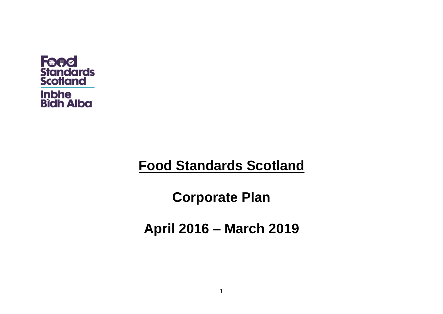

# **Food Standards Scotland**

**Corporate Plan** 

**April 2016 – March 2019**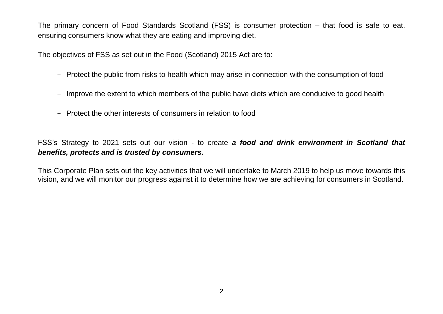The primary concern of Food Standards Scotland (FSS) is consumer protection – that food is safe to eat, ensuring consumers know what they are eating and improving diet.

The objectives of FSS as set out in the Food (Scotland) 2015 Act are to:

- Protect the public from risks to health which may arise in connection with the consumption of food
- Improve the extent to which members of the public have diets which are conducive to good health
- Protect the other interests of consumers in relation to food

FSS's Strategy to 2021 sets out our vision - to create *a food and drink environment in Scotland that benefits, protects and is trusted by consumers.*

This Corporate Plan sets out the key activities that we will undertake to March 2019 to help us move towards this vision, and we will monitor our progress against it to determine how we are achieving for consumers in Scotland.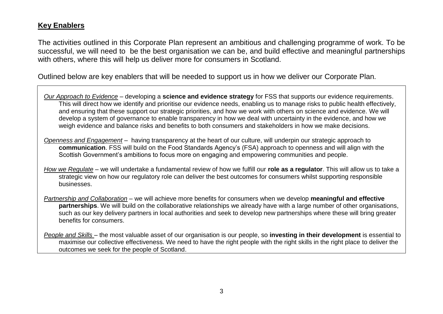### **Key Enablers**

The activities outlined in this Corporate Plan represent an ambitious and challenging programme of work. To be successful, we will need to be the best organisation we can be, and build effective and meaningful partnerships with others, where this will help us deliver more for consumers in Scotland.

Outlined below are key enablers that will be needed to support us in how we deliver our Corporate Plan.

*Our Approach to Evidence* – developing a **science and evidence strategy** for FSS that supports our evidence requirements. This will direct how we identify and prioritise our evidence needs, enabling us to manage risks to public health effectively, and ensuring that these support our strategic priorities, and how we work with others on science and evidence. We will develop a system of governance to enable transparency in how we deal with uncertainty in the evidence, and how we weigh evidence and balance risks and benefits to both consumers and stakeholders in how we make decisions.

*Openness and Engagement* – having transparency at the heart of our culture, will underpin our strategic approach to **communication**. FSS will build on the Food Standards Agency's (FSA) approach to openness and will align with the Scottish Government's ambitions to focus more on engaging and empowering communities and people.

*How we Regulate* – we will undertake a fundamental review of how we fulfill our **role as a regulator**. This will allow us to take a strategic view on how our regulatory role can deliver the best outcomes for consumers whilst supporting responsible businesses.

*Partnership and Collaboration* – we will achieve more benefits for consumers when we develop **meaningful and effective partnerships**. We will build on the collaborative relationships we already have with a large number of other organisations, such as our key delivery partners in local authorities and seek to develop new partnerships where these will bring greater benefits for consumers.

*People and Skills* – the most valuable asset of our organisation is our people, so **investing in their development** is essential to maximise our collective effectiveness. We need to have the right people with the right skills in the right place to deliver the outcomes we seek for the people of Scotland.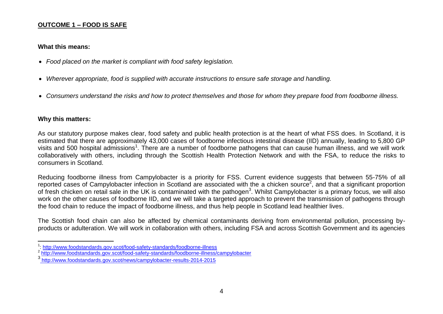#### **OUTCOME 1 – FOOD IS SAFE**

#### **What this means:**

- *Food placed on the market is compliant with food safety legislation.*
- *Wherever appropriate, food is supplied with accurate instructions to ensure safe storage and handling.*
- *Consumers understand the risks and how to protect themselves and those for whom they prepare food from foodborne illness.*

#### **Why this matters:**

As our statutory purpose makes clear, food safety and public health protection is at the heart of what FSS does. In Scotland, it is estimated that there are approximately 43,000 cases of foodborne infectious intestinal disease (IID) annually, leading to 5,800 GP visits and 500 hospital admissions<sup>1</sup>. There are a number of foodborne pathogens that can cause human illness, and we will work collaboratively with others, including through the Scottish Health Protection Network and with the FSA, to reduce the risks to consumers in Scotland.

Reducing foodborne illness from Campylobacter is a priority for FSS. Current evidence suggests that between 55-75% of all reported cases of Campylobacter infection in Scotland are associated with the a chicken source<sup>2</sup>, and that a significant proportion of fresh chicken on retail sale in the UK is contaminated with the pathogen<sup>3</sup>. Whilst Campylobacter is a primary focus, we will also work on the other causes of foodborne IID, and we will take a targeted approach to prevent the transmission of pathogens through the food chain to reduce the impact of foodborne illness, and thus help people in Scotland lead healthier lives.

The Scottish food chain can also be affected by chemical contaminants deriving from environmental pollution, processing byproducts or adulteration. We will work in collaboration with others, including FSA and across Scottish Government and its agencies

 1 : [http://www.foodstandards.gov.scot/food-safety-standards/foodborne-illness](https://protect-eu.mimecast.com/redirect/eNpVi0EOwiAQRe_CulDtsiuN1-gGh2nFAEOYQWKMdxejMXH533_vobIFNavTNB33OzWogpun1EkuJAiisZroI4JlMUCxK1BZKGIBcviXQpa-rzV4NM2KHIASU_DOCrpcvnn2Ts3ToGoJ3b6I5HkZl7G1ZlYix2KTs8Wx2ehmGEiW8c012xXlrn__B5-pJNQ-hITM6vkCKLJIMQ)

<sup>&</sup>lt;sup>2</sup> <http://www.foodstandards.gov.scot/food-safety-standards/foodborne-illness/campylobacter>

<sup>3</sup> <http://www.foodstandards.gov.scot/news/campylobacter-results-2014-2015>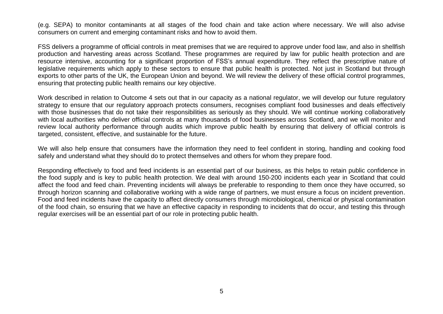(e.g. SEPA) to monitor contaminants at all stages of the food chain and take action where necessary. We will also advise consumers on current and emerging contaminant risks and how to avoid them.

FSS delivers a programme of official controls in meat premises that we are required to approve under food law, and also in shellfish production and harvesting areas across Scotland. These programmes are required by law for public health protection and are resource intensive, accounting for a significant proportion of FSS's annual expenditure. They reflect the prescriptive nature of legislative requirements which apply to these sectors to ensure that public health is protected. Not just in Scotland but through exports to other parts of the UK, the European Union and beyond. We will review the delivery of these official control programmes, ensuring that protecting public health remains our key objective.

Work described in relation to Outcome 4 sets out that in our capacity as a national regulator, we will develop our future regulatory strategy to ensure that our regulatory approach protects consumers, recognises compliant food businesses and deals effectively with those businesses that do not take their responsibilities as seriously as they should. We will continue working collaboratively with local authorities who deliver official controls at many thousands of food businesses across Scotland, and we will monitor and review local authority performance through audits which improve public health by ensuring that delivery of official controls is targeted, consistent, effective, and sustainable for the future.

We will also help ensure that consumers have the information they need to feel confident in storing, handling and cooking food safely and understand what they should do to protect themselves and others for whom they prepare food.

Responding effectively to food and feed incidents is an essential part of our business, as this helps to retain public confidence in the food supply and is key to public health protection. We deal with around 150-200 incidents each year in Scotland that could affect the food and feed chain. Preventing incidents will always be preferable to responding to them once they have occurred, so through horizon scanning and collaborative working with a wide range of partners, we must ensure a focus on incident prevention. Food and feed incidents have the capacity to affect directly consumers through microbiological, chemical or physical contamination of the food chain, so ensuring that we have an effective capacity in responding to incidents that do occur, and testing this through regular exercises will be an essential part of our role in protecting public health.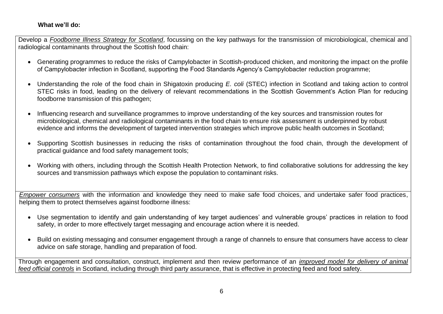#### **What we'll do:**

Develop a *Foodborne Illness Strategy for Scotland*, focussing on the key pathways for the transmission of microbiological, chemical and radiological contaminants throughout the Scottish food chain:

- Generating programmes to reduce the risks of Campylobacter in Scottish-produced chicken, and monitoring the impact on the profile of Campylobacter infection in Scotland, supporting the Food Standards Agency's Campylobacter reduction programme;
- Understanding the role of the food chain in Shigatoxin producing *E. coli* (STEC) infection in Scotland and taking action to control STEC risks in food, leading on the delivery of relevant recommendations in the Scottish Government's Action Plan for reducing foodborne transmission of this pathogen;
- Influencing research and surveillance programmes to improve understanding of the key sources and transmission routes for microbiological, chemical and radiological contaminants in the food chain to ensure risk assessment is underpinned by robust evidence and informs the development of targeted intervention strategies which improve public health outcomes in Scotland;
- Supporting Scottish businesses in reducing the risks of contamination throughout the food chain, through the development of practical guidance and food safety management tools;
- Working with others, including through the Scottish Health Protection Network, to find collaborative solutions for addressing the key sources and transmission pathways which expose the population to contaminant risks.

*Empower consumers* with the information and knowledge they need to make safe food choices, and undertake safer food practices, helping them to protect themselves against foodborne illness:

- Use segmentation to identify and gain understanding of key target audiences' and vulnerable groups' practices in relation to food safety, in order to more effectively target messaging and encourage action where it is needed.
- Build on existing messaging and consumer engagement through a range of channels to ensure that consumers have access to clear advice on safe storage, handling and preparation of food.

Through engagement and consultation, construct, implement and then review performance of an *improved model for delivery of animal feed official controls* in Scotland, including through third party assurance, that is effective in protecting feed and food safety.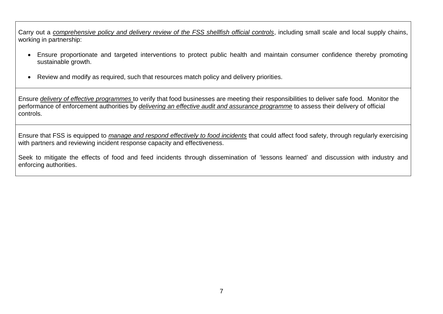Carry out a *comprehensive policy and delivery review of the FSS shellfish official controls*, including small scale and local supply chains, working in partnership:

- Ensure proportionate and targeted interventions to protect public health and maintain consumer confidence thereby promoting sustainable growth.
- Review and modify as required, such that resources match policy and delivery priorities.

Ensure *delivery of effective programmes* to verify that food businesses are meeting their responsibilities to deliver safe food. Monitor the performance of enforcement authorities by *delivering an effective audit and assurance programme* to assess their delivery of official controls.

Ensure that FSS is equipped to *manage and respond effectively to food incidents* that could affect food safety, through regularly exercising with partners and reviewing incident response capacity and effectiveness.

Seek to mitigate the effects of food and feed incidents through dissemination of 'lessons learned' and discussion with industry and enforcing authorities.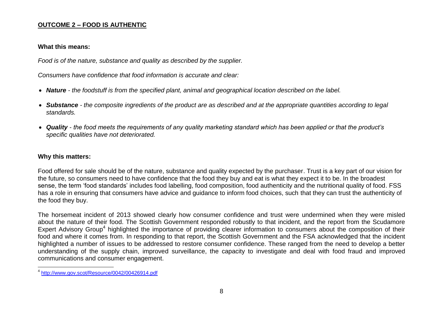#### **OUTCOME 2 – FOOD IS AUTHENTIC**

#### **What this means:**

*Food is of the nature, substance and quality as described by the supplier.*

*Consumers have confidence that food information is accurate and clear:* 

- *Nature - the foodstuff is from the specified plant, animal and geographical location described on the label.*
- *Substance - the composite ingredients of the product are as described and at the appropriate quantities according to legal standards.*
- *Quality - the food meets the requirements of any quality marketing standard which has been applied or that the product's specific qualities have not deteriorated.*

#### **Why this matters:**

Food offered for sale should be of the nature, substance and quality expected by the purchaser. Trust is a key part of our vision for the future, so consumers need to have confidence that the food they buy and eat is what they expect it to be. In the broadest sense, the term 'food standards' includes food labelling, food composition, food authenticity and the nutritional quality of food. FSS has a role in ensuring that consumers have advice and guidance to inform food choices, such that they can trust the authenticity of the food they buy.

The horsemeat incident of 2013 showed clearly how consumer confidence and trust were undermined when they were misled about the nature of their food. The Scottish Government responded robustly to that incident, and the report from the Scudamore Expert Advisory Group<sup>4</sup> highlighted the importance of providing clearer information to consumers about the composition of their food and where it comes from. In responding to that report, the Scottish Government and the FSA acknowledged that the incident highlighted a number of issues to be addressed to restore consumer confidence. These ranged from the need to develop a better understanding of the supply chain, improved surveillance, the capacity to investigate and deal with food fraud and improved communications and consumer engagement.

 $\overline{a}$ 4 <http://www.gov.scot/Resource/0042/00426914.pdf>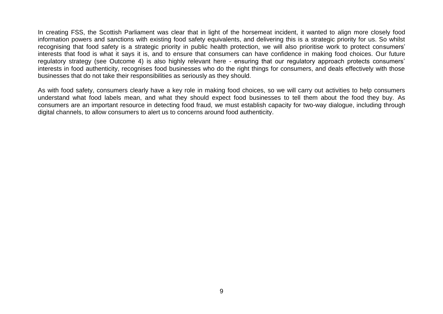In creating FSS, the Scottish Parliament was clear that in light of the horsemeat incident, it wanted to align more closely food information powers and sanctions with existing food safety equivalents, and delivering this is a strategic priority for us. So whilst recognising that food safety is a strategic priority in public health protection, we will also prioritise work to protect consumers' interests that food is what it says it is, and to ensure that consumers can have confidence in making food choices. Our future regulatory strategy (see Outcome 4) is also highly relevant here - ensuring that our regulatory approach protects consumers' interests in food authenticity, recognises food businesses who do the right things for consumers, and deals effectively with those businesses that do not take their responsibilities as seriously as they should.

As with food safety, consumers clearly have a key role in making food choices, so we will carry out activities to help consumers understand what food labels mean, and what they should expect food businesses to tell them about the food they buy. As consumers are an important resource in detecting food fraud, we must establish capacity for two-way dialogue, including through digital channels, to allow consumers to alert us to concerns around food authenticity.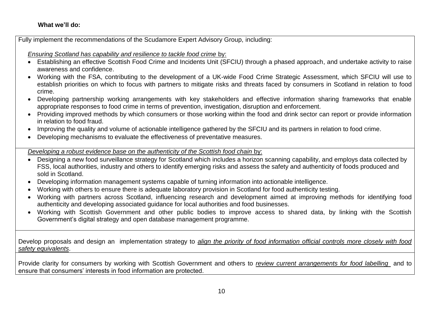#### **What we'll do:**

Fully implement the recommendations of the Scudamore Expert Advisory Group, including:

*Ensuring Scotland has capability and resilience to tackle food crime* by:

- Establishing an effective Scottish Food Crime and Incidents Unit (SFCIU) through a phased approach, and undertake activity to raise awareness and confidence.
- Working with the FSA, contributing to the development of a UK-wide Food Crime Strategic Assessment, which SFCIU will use to establish priorities on which to focus with partners to mitigate risks and threats faced by consumers in Scotland in relation to food crime.
- Developing partnership working arrangements with key stakeholders and effective information sharing frameworks that enable appropriate responses to food crime in terms of prevention, investigation, disruption and enforcement.
- Providing improved methods by which consumers or those working within the food and drink sector can report or provide information in relation to food fraud.
- Improving the quality and volume of actionable intelligence gathered by the SFCIU and its partners in relation to food crime.
- Developing mechanisms to evaluate the effectiveness of preventative measures.

*Developing a robust evidence base on the authenticity of the Scottish food chain* by:

- Designing a new food surveillance strategy for Scotland which includes a horizon scanning capability, and employs data collected by FSS, local authorities, industry and others to identify emerging risks and assess the safety and authenticity of foods produced and sold in Scotland.
- Developing information management systems capable of turning information into actionable intelligence.
- Working with others to ensure there is adequate laboratory provision in Scotland for food authenticity testing.
- Working with partners across Scotland, influencing research and development aimed at improving methods for identifying food authenticity and developing associated guidance for local authorities and food businesses.
- Working with Scottish Government and other public bodies to improve access to shared data, by linking with the Scottish Government's digital strategy and open database management programme.

Develop proposals and design an implementation strategy to *align the priority of food information official controls more closely with food safety equivalents*.

Provide clarity for consumers by working with Scottish Government and others to *review current arrangements for food labelling* and to ensure that consumers' interests in food information are protected.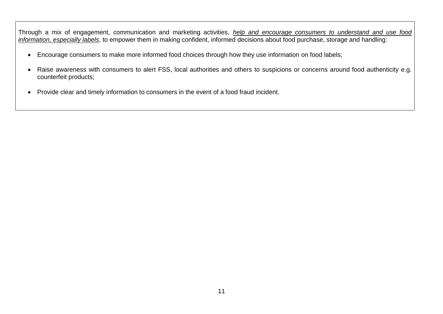Through a mix of engagement, communication and marketing activities, *help and encourage consumers to understand and use food information, especially labels*, to empower them in making confident, informed decisions about food purchase, storage and handling:

- Encourage consumers to make more informed food choices through how they use information on food labels;
- Raise awareness with consumers to alert FSS, local authorities and others to suspicions or concerns around food authenticity e.g. counterfeit products;
- Provide clear and timely information to consumers in the event of a food fraud incident.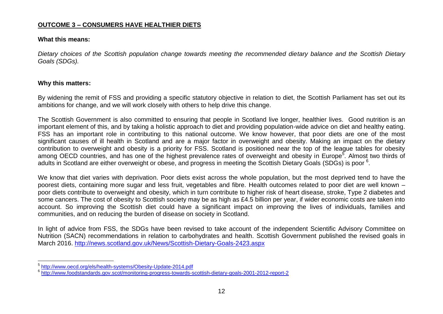#### **OUTCOME 3 – CONSUMERS HAVE HEALTHIER DIETS**

#### **What this means:**

*Dietary choices of the Scottish population change towards meeting the recommended dietary balance and the Scottish Dietary Goals (SDGs).*

#### **Why this matters:**

By widening the remit of FSS and providing a specific statutory objective in relation to diet, the Scottish Parliament has set out its ambitions for change, and we will work closely with others to help drive this change.

The Scottish Government is also committed to ensuring that people in Scotland live longer, healthier lives. Good nutrition is an important element of this, and by taking a holistic approach to diet and providing population-wide advice on diet and healthy eating. FSS has an important role in contributing to this national outcome. We know however, that poor diets are one of the most significant causes of ill health in Scotland and are a major factor in overweight and obesity. Making an impact on the dietary contribution to overweight and obesity is a priority for FSS. Scotland is positioned near the top of the league tables for obesity among OECD countries, and has one of the highest prevalence rates of overweight and obesity in Europe<sup>5</sup>. Almost two thirds of adults in Scotland are either overweight or obese, and progress in meeting the Scottish Dietary Goals (SDGs) is poor <sup>6</sup>.

We know that diet varies with deprivation. Poor diets exist across the whole population, but the most deprived tend to have the poorest diets, containing more sugar and less fruit, vegetables and fibre. Health outcomes related to poor diet are well known – poor diets contribute to overweight and obesity, which in turn contribute to higher risk of heart disease, stroke, Type 2 diabetes and some cancers. The cost of obesity to Scottish society may be as high as £4.5 billion per year, if wider economic costs are taken into account. So improving the Scottish diet could have a significant impact on improving the lives of individuals, families and communities, and on reducing the burden of disease on society in Scotland.

In light of advice from FSS, the SDGs have been revised to take account of the independent Scientific Advisory Committee on Nutrition (SACN) recommendations in relation to carbohydrates and health. Scottish Government published the revised goals in March 2016.<http://news.scotland.gov.uk/News/Scottish-Dietary-Goals-2423.aspx>

<sup>&</sup>lt;u>-</u><br><sup>5</sup> <http://www.oecd.org/els/health-systems/Obesity-Update-2014.pdf>

<sup>&</sup>lt;sup>6</sup> <http://www.foodstandards.gov.scot/monitoring-progress-towards-scottish-dietary-goals-2001-2012-report-2>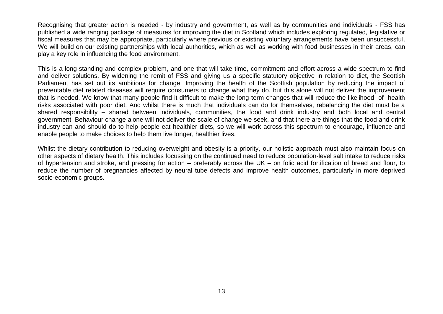Recognising that greater action is needed - by industry and government, as well as by communities and individuals - FSS has published a wide ranging package of measures for improving the diet in Scotland which includes exploring regulated, legislative or fiscal measures that may be appropriate, particularly where previous or existing voluntary arrangements have been unsuccessful. We will build on our existing partnerships with local authorities, which as well as working with food businesses in their areas, can play a key role in influencing the food environment.

This is a long-standing and complex problem, and one that will take time, commitment and effort across a wide spectrum to find and deliver solutions. By widening the remit of FSS and giving us a specific statutory objective in relation to diet, the Scottish Parliament has set out its ambitions for change. Improving the health of the Scottish population by reducing the impact of preventable diet related diseases will require consumers to change what they do, but this alone will not deliver the improvement that is needed. We know that many people find it difficult to make the long-term changes that will reduce the likelihood of health risks associated with poor diet. And whilst there is much that individuals can do for themselves, rebalancing the diet must be a shared responsibility – shared between individuals, communities, the food and drink industry and both local and central government. Behaviour change alone will not deliver the scale of change we seek, and that there are things that the food and drink industry can and should do to help people eat healthier diets, so we will work across this spectrum to encourage, influence and enable people to make choices to help them live longer, healthier lives.

Whilst the dietary contribution to reducing overweight and obesity is a priority, our holistic approach must also maintain focus on other aspects of dietary health. This includes focussing on the continued need to reduce population-level salt intake to reduce risks of hypertension and stroke, and pressing for action – preferably across the UK – on folic acid fortification of bread and flour, to reduce the number of pregnancies affected by neural tube defects and improve health outcomes, particularly in more deprived socio-economic groups.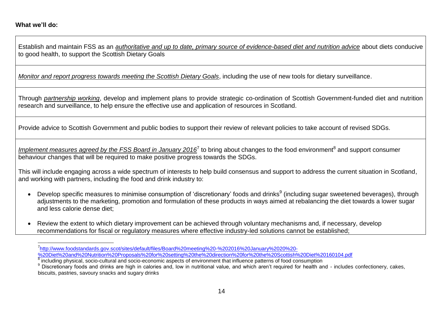Establish and maintain FSS as an *authoritative and up to date, primary source of evidence-based diet and nutrition advice* about diets conducive to good health, to support the Scottish Dietary Goals

*Monitor and report progress towards meeting the Scottish Dietary Goals*, including the use of new tools for dietary surveillance.

Through *partnership working*, develop and implement plans to provide strategic co-ordination of Scottish Government-funded diet and nutrition research and surveillance, to help ensure the effective use and application of resources in Scotland.

Provide advice to Scottish Government and public bodies to support their review of relevant policies to take account of revised SDGs.

Implement measures agreed by the FSS Board in January 2016<sup>7</sup> to bring about changes to the food environment<sup>8</sup> and support consumer behaviour changes that will be required to make positive progress towards the SDGs.

This will include engaging across a wide spectrum of interests to help build consensus and support to address the current situation in Scotland, and working with partners, including the food and drink industry to:

- Develop specific measures to minimise consumption of 'discretionary' foods and drinks<sup>9</sup> (including sugar sweetened beverages), through adjustments to the marketing, promotion and formulation of these products in ways aimed at rebalancing the diet towards a lower sugar and less calorie dense diet;
- Review the extent to which dietary improvement can be achieved through voluntary mechanisms and, if necessary, develop recommendations for fiscal or regulatory measures where effective industry-led solutions cannot be established;

 $\overline{a}$ <sup>7</sup>[http://www.foodstandards.gov.scot/sites/default/files/Board%20meeting%20-%202016%20January%2020%20-](http://www.foodstandards.gov.scot/sites/default/files/Board%20meeting%20-%202016%20January%2020%20-%20Diet%20and%20Nutrition%20Proposals%20for%20setting%20the%20direction%20for%20the%20Scottish%20Diet%20160104.pdf)

[<sup>%20</sup>Diet%20and%20Nutrition%20Proposals%20for%20setting%20the%20direction%20for%20the%20Scottish%20Diet%20160104.pdf](http://www.foodstandards.gov.scot/sites/default/files/Board%20meeting%20-%202016%20January%2020%20-%20Diet%20and%20Nutrition%20Proposals%20for%20setting%20the%20direction%20for%20the%20Scottish%20Diet%20160104.pdf)

<sup>&</sup>lt;sup>8</sup> including physical, socio-cultural and socio-economic aspects of environment that influence patterns of food consumption

<sup>&</sup>lt;sup>9</sup> Discretionary foods and drinks are high in calories and, low in nutritional value, and which aren't required for health and - includes confectionery, cakes, biscuits, pastries, savoury snacks and sugary drinks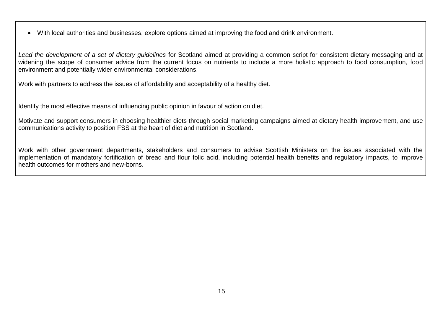With local authorities and businesses, explore options aimed at improving the food and drink environment.

*Lead the development of a set of dietary guidelines* for Scotland aimed at providing a common script for consistent dietary messaging and at widening the scope of consumer advice from the current focus on nutrients to include a more holistic approach to food consumption, food environment and potentially wider environmental considerations.

Work with partners to address the issues of affordability and acceptability of a healthy diet.

Identify the most effective means of influencing public opinion in favour of action on diet.

Motivate and support consumers in choosing healthier diets through social marketing campaigns aimed at dietary health improvement, and use communications activity to position FSS at the heart of diet and nutrition in Scotland.

Work with other government departments, stakeholders and consumers to advise Scottish Ministers on the issues associated with the implementation of mandatory fortification of bread and flour folic acid, including potential health benefits and regulatory impacts, to improve health outcomes for mothers and new-borns.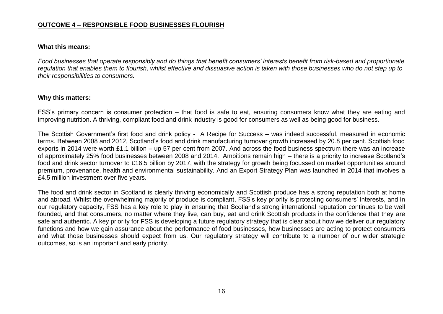#### **OUTCOME 4 – RESPONSIBLE FOOD BUSINESSES FLOURISH**

#### **What this means:**

*Food businesses that operate responsibly and do things that benefit consumers' interests benefit from risk-based and proportionate regulation that enables them to flourish, whilst effective and dissuasive action is taken with those businesses who do not step up to their responsibilities to consumers.* 

#### **Why this matters:**

FSS's primary concern is consumer protection – that food is safe to eat, ensuring consumers know what they are eating and improving nutrition. A thriving, compliant food and drink industry is good for consumers as well as being good for business.

The Scottish Government's first food and drink policy - A Recipe for Success – was indeed successful, measured in economic terms. Between 2008 and 2012, Scotland's food and drink manufacturing turnover growth increased by 20.8 per cent. Scottish food exports in 2014 were worth £1.1 billion – up 57 per cent from 2007. And across the food business spectrum there was an increase of approximately 25% food businesses between 2008 and 2014. Ambitions remain high – there is a priority to increase Scotland's food and drink sector turnover to £16.5 billion by 2017, with the strategy for growth being focussed on market opportunities around premium, provenance, health and environmental sustainability. And an Export Strategy Plan was launched in 2014 that involves a £4.5 million investment over five years.

The food and drink sector in Scotland is clearly thriving economically and Scottish produce has a strong reputation both at home and abroad. Whilst the overwhelming majority of produce is compliant, FSS's key priority is protecting consumers' interests, and in our regulatory capacity, FSS has a key role to play in ensuring that Scotland's strong international reputation continues to be well founded, and that consumers, no matter where they live, can buy, eat and drink Scottish products in the confidence that they are safe and authentic. A key priority for FSS is developing a future regulatory strategy that is clear about how we deliver our regulatory functions and how we gain assurance about the performance of food businesses, how businesses are acting to protect consumers and what those businesses should expect from us. Our regulatory strategy will contribute to a number of our wider strategic outcomes, so is an important and early priority.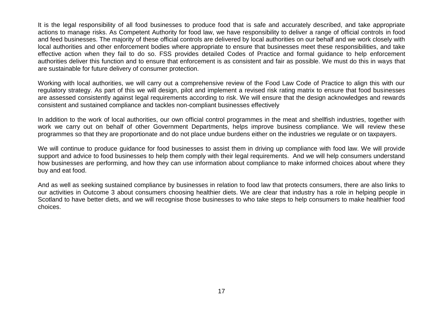It is the legal responsibility of all food businesses to produce food that is safe and accurately described, and take appropriate actions to manage risks. As Competent Authority for food law, we have responsibility to deliver a range of official controls in food and feed businesses. The majority of these official controls are delivered by local authorities on our behalf and we work closely with local authorities and other enforcement bodies where appropriate to ensure that businesses meet these responsibilities, and take effective action when they fail to do so. FSS provides detailed Codes of Practice and formal guidance to help enforcement authorities deliver this function and to ensure that enforcement is as consistent and fair as possible. We must do this in ways that are sustainable for future delivery of consumer protection.

Working with local authorities, we will carry out a comprehensive review of the Food Law Code of Practice to align this with our regulatory strategy. As part of this we will design, pilot and implement a revised risk rating matrix to ensure that food businesses are assessed consistently against legal requirements according to risk. We will ensure that the design acknowledges and rewards consistent and sustained compliance and tackles non-compliant businesses effectively

In addition to the work of local authorities, our own official control programmes in the meat and shellfish industries, together with work we carry out on behalf of other Government Departments, helps improve business compliance. We will review these programmes so that they are proportionate and do not place undue burdens either on the industries we regulate or on taxpayers.

We will continue to produce guidance for food businesses to assist them in driving up compliance with food law. We will provide support and advice to food businesses to help them comply with their legal requirements. And we will help consumers understand how businesses are performing, and how they can use information about compliance to make informed choices about where they buy and eat food.

And as well as seeking sustained compliance by businesses in relation to food law that protects consumers, there are also links to our activities in Outcome 3 about consumers choosing healthier diets. We are clear that industry has a role in helping people in Scotland to have better diets, and we will recognise those businesses to who take steps to help consumers to make healthier food choices.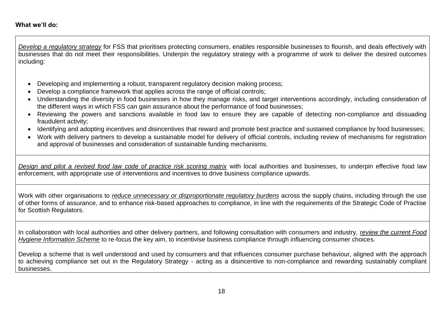*Develop a regulatory strategy* for FSS that prioritises protecting consumers, enables responsible businesses to flourish, and deals effectively with businesses that do not meet their responsibilities. Underpin the regulatory strategy with a programme of work to deliver the desired outcomes including:

- Developing and implementing a robust, transparent regulatory decision making process;
- Develop a compliance framework that applies across the range of official controls;
- Understanding the diversity in food businesses in how they manage risks, and target interventions accordingly, including consideration of the different ways in which FSS can gain assurance about the performance of food businesses;
- Reviewing the powers and sanctions available in food law to ensure they are capable of detecting non-compliance and dissuading fraudulent activity;
- Identifying and adopting incentives and disincentives that reward and promote best practice and sustained compliance by food businesses;
- Work with delivery partners to develop a sustainable model for delivery of official controls, including review of mechanisms for registration and approval of businesses and consideration of sustainable funding mechanisms.

*Design and pilot a revised food law code of practice risk scoring matrix* with local authorities and businesses, to underpin effective food law enforcement, with appropriate use of interventions and incentives to drive business compliance upwards.

Work with other organisations to *reduce unnecessary or disproportionate regulatory burdens* across the supply chains, including through the use of other forms of assurance, and to enhance risk-based approaches to compliance, in line with the requirements of the Strategic Code of Practise for Scottish Regulators.

In collaboration with local authorities and other delivery partners, and following consultation with consumers and industry, *review the current Food Hygiene Information Scheme* to re-focus the key aim, to incentivise business compliance through influencing consumer choices.

Develop a scheme that is well understood and used by consumers and that influences consumer purchase behaviour, aligned with the approach to achieving compliance set out in the Regulatory Strategy - acting as a disincentive to non-compliance and rewarding sustainably compliant businesses.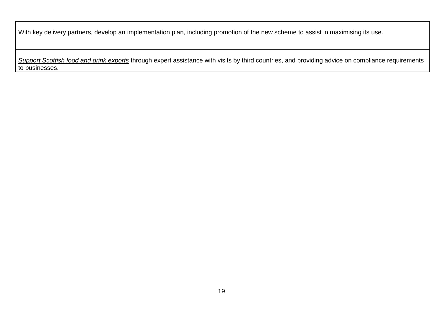With key delivery partners, develop an implementation plan, including promotion of the new scheme to assist in maximising its use.

*Support Scottish food and drink exports* through expert assistance with visits by third countries, and providing advice on compliance requirements to businesses.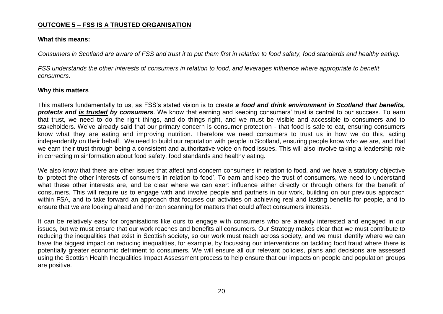#### **OUTCOME 5 – FSS IS A TRUSTED ORGANISATION**

#### **What this means:**

*Consumers in Scotland are aware of FSS and trust it to put them first in relation to food safety, food standards and healthy eating.*

*FSS understands the other interests of consumers in relation to food, and leverages influence where appropriate to benefit consumers.* 

#### **Why this matters**

This matters fundamentally to us, as FSS's stated vision is to create *a food and drink environment in Scotland that benefits, protects and is trusted by consumers*. We know that earning and keeping consumers' trust is central to our success. To earn that trust, we need to do the right things, and do things right, and we must be visible and accessible to consumers and to stakeholders. We've already said that our primary concern is consumer protection - that food is safe to eat, ensuring consumers know what they are eating and improving nutrition. Therefore we need consumers to trust us in how we do this, acting independently on their behalf. We need to build our reputation with people in Scotland, ensuring people know who we are, and that we earn their trust through being a consistent and authoritative voice on food issues. This will also involve taking a leadership role in correcting misinformation about food safety, food standards and healthy eating.

We also know that there are other issues that affect and concern consumers in relation to food, and we have a statutory objective to 'protect the other interests of consumers in relation to food'. To earn and keep the trust of consumers, we need to understand what these other interests are, and be clear where we can exert influence either directly or through others for the benefit of consumers. This will require us to engage with and involve people and partners in our work, building on our previous approach within FSA, and to take forward an approach that focuses our activities on achieving real and lasting benefits for people, and to ensure that we are looking ahead and horizon scanning for matters that could affect consumers interests.

It can be relatively easy for organisations like ours to engage with consumers who are already interested and engaged in our issues, but we must ensure that our work reaches and benefits all consumers. Our Strategy makes clear that we must contribute to reducing the inequalities that exist in Scottish society, so our work must reach across society, and we must identify where we can have the biggest impact on reducing inequalities, for example, by focussing our interventions on tackling food fraud where there is potentially greater economic detriment to consumers. We will ensure all our relevant policies, plans and decisions are assessed using the Scottish Health Inequalities Impact Assessment process to help ensure that our impacts on people and population groups are positive.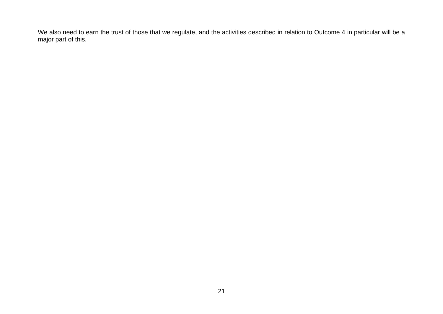We also need to earn the trust of those that we regulate, and the activities described in relation to Outcome 4 in particular will be a major part of this.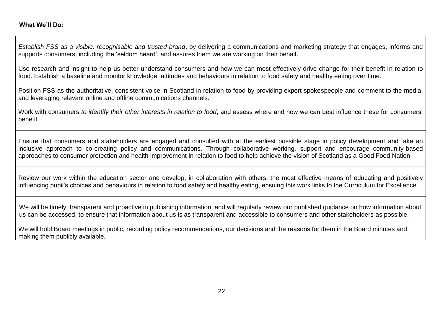*Establish FSS as a visible, recognisable and trusted brand*, by delivering a communications and marketing strategy that engages, informs and supports consumers, including the 'seldom heard', and assures them we are working on their behalf.

Use research and insight to help us better understand consumers and how we can most effectively drive change for their benefit in relation to food. Establish a baseline and monitor knowledge, attitudes and behaviours in relation to food safety and healthy eating over time.

Position FSS as the authoritative, consistent voice in Scotland in relation to food by providing expert spokespeople and comment to the media, and leveraging relevant online and offline communications channels.

Work with consumers *to identify their other interests in relation to food*, and assess where and how we can best influence these for consumers' benefit.

Ensure that consumers and stakeholders are engaged and consulted with at the earliest possible stage in policy development and take an inclusive approach to co-creating policy and communications. Through collaborative working, support and encourage community-based approaches to consumer protection and health improvement in relation to food to help achieve the vision of Scotland as a Good Food Nation

Review our work within the education sector and develop, in collaboration with others, the most effective means of educating and positively influencing pupil's choices and behaviours in relation to food safety and healthy eating, ensuing this work links to the Curriculum for Excellence.

We will be timely, transparent and proactive in publishing information, and will regularly review our published guidance on how information about us can be accessed, to ensure that information about us is as transparent and accessible to consumers and other stakeholders as possible.

We will hold Board meetings in public, recording policy recommendations, our decisions and the reasons for them in the Board minutes and making them publicly available.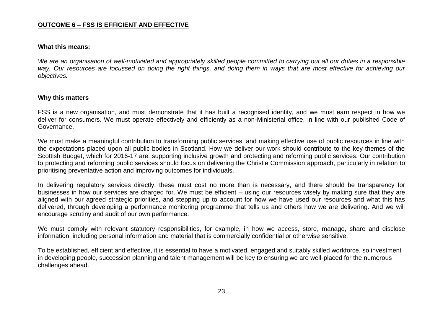#### **OUTCOME 6 – FSS IS EFFICIENT AND EFFECTIVE**

#### **What this means:**

*We are an organisation of well-motivated and appropriately skilled people committed to carrying out all our duties in a responsible way. Our resources are focussed on doing the right things, and doing them in ways that are most effective for achieving our objectives.*

#### **Why this matters**

FSS is a new organisation, and must demonstrate that it has built a recognised identity, and we must earn respect in how we deliver for consumers. We must operate effectively and efficiently as a non-Ministerial office, in line with our published Code of Governance.

We must make a meaningful contribution to transforming public services, and making effective use of public resources in line with the expectations placed upon all public bodies in Scotland. How we deliver our work should contribute to the key themes of the Scottish Budget, which for 2016-17 are: supporting inclusive growth and protecting and reforming public services. Our contribution to protecting and reforming public services should focus on delivering the Christie Commission approach, particularly in relation to prioritising preventative action and improving outcomes for individuals.

In delivering regulatory services directly, these must cost no more than is necessary, and there should be transparency for businesses in how our services are charged for. We must be efficient – using our resources wisely by making sure that they are aligned with our agreed strategic priorities, and stepping up to account for how we have used our resources and what this has delivered, through developing a performance monitoring programme that tells us and others how we are delivering. And we will encourage scrutiny and audit of our own performance.

We must comply with relevant statutory responsibilities, for example, in how we access, store, manage, share and disclose information, including personal information and material that is commercially confidential or otherwise sensitive.

To be established, efficient and effective, it is essential to have a motivated, engaged and suitably skilled workforce, so investment in developing people, succession planning and talent management will be key to ensuring we are well-placed for the numerous challenges ahead.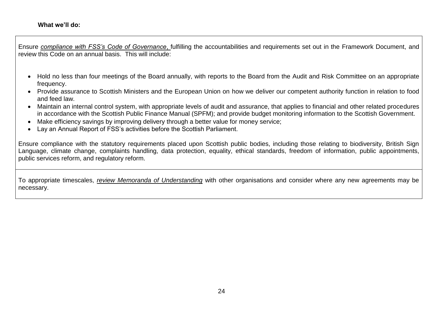Ensure *compliance with FSS's Code of Governance*, fulfilling the accountabilities and requirements set out in the Framework Document, and review this Code on an annual basis. This will include:

- Hold no less than four meetings of the Board annually, with reports to the Board from the Audit and Risk Committee on an appropriate frequency.
- Provide assurance to Scottish Ministers and the European Union on how we deliver our competent authority function in relation to food and feed law.
- Maintain an internal control system, with appropriate levels of audit and assurance, that applies to financial and other related procedures in accordance with the Scottish Public Finance Manual (SPFM); and provide budget monitoring information to the Scottish Government.
- Make efficiency savings by improving delivery through a better value for money service;
- Lay an Annual Report of FSS's activities before the Scottish Parliament.

Ensure compliance with the statutory requirements placed upon Scottish public bodies, including those relating to biodiversity, British Sign Language, climate change, complaints handling, data protection, equality, ethical standards, freedom of information, public appointments, public services reform, and regulatory reform.

To appropriate timescales, *review Memoranda of Understanding* with other organisations and consider where any new agreements may be necessary.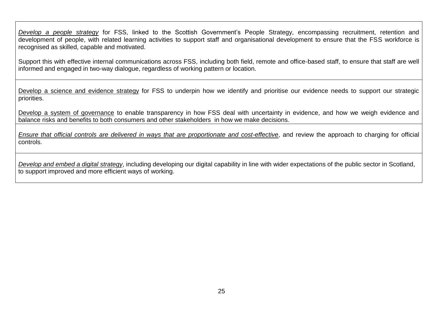*Develop a people strategy* for FSS, linked to the Scottish Government's People Strategy, encompassing recruitment, retention and development of people, with related learning activities to support staff and organisational development to ensure that the FSS workforce is recognised as skilled, capable and motivated.

Support this with effective internal communications across FSS, including both field, remote and office-based staff, to ensure that staff are well informed and engaged in two-way dialogue, regardless of working pattern or location.

Develop a science and evidence strategy for FSS to underpin how we identify and prioritise our evidence needs to support our strategic priorities.

Develop a system of governance to enable transparency in how FSS deal with uncertainty in evidence, and how we weigh evidence and balance risks and benefits to both consumers and other stakeholders in how we make decisions.

*Ensure that official controls are delivered in ways that are proportionate and cost-effective*, and review the approach to charging for official controls.

*Develop and embed a digital strategy*, including developing our digital capability in line with wider expectations of the public sector in Scotland, to support improved and more efficient ways of working.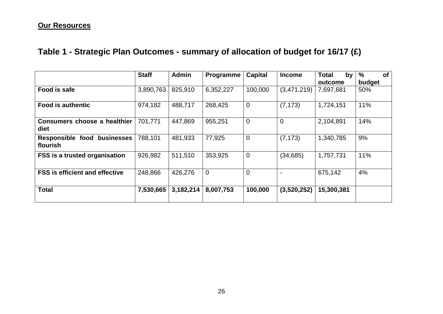### **Our Resources**

# **Table 1 - Strategic Plan Outcomes - summary of allocation of budget for 16/17 (£)**

|                                         | <b>Staff</b> | <b>Admin</b> | <b>Programme</b> | <b>Capital</b> | <b>Income</b>  | <b>Total</b><br>by | $\frac{0}{0}$<br>of |  |
|-----------------------------------------|--------------|--------------|------------------|----------------|----------------|--------------------|---------------------|--|
|                                         |              |              |                  |                |                | outcome            | budget              |  |
| Food is safe                            | 3,890,763    | 825,910      | 6,352,227        | 100,000        | (3,471,219)    | 7,697,681          | 50%                 |  |
| <b>Food is authentic</b>                | 974,182      | 488,717      | 268,425          | $\mathbf 0$    | (7, 173)       | 1,724,151          | 11%                 |  |
| Consumers choose a healthier<br>diet    | 701,771      | 447,869      | 955,251          | $\overline{0}$ | $\overline{0}$ | 2,104,891          | 14%                 |  |
| Responsible food businesses<br>flourish | 788,101      | 481,933      | 77,925           | $\overline{0}$ | (7, 173)       | 1,340,785          | 9%                  |  |
| <b>FSS is a trusted organisation</b>    | 926,982      | 511,510      | 353,925          | $\mathbf 0$    | (34, 685)      | 1,757,731          | 11%                 |  |
| <b>FSS is efficient and effective</b>   | 248,866      | 426,276      | $\mathbf 0$      | $\overline{0}$ | $\blacksquare$ | 675,142            | 4%                  |  |
| <b>Total</b>                            | 7,530,665    | 3,182,214    | 8,007,753        | 100,000        | (3,520,252)    | 15,300,381         |                     |  |